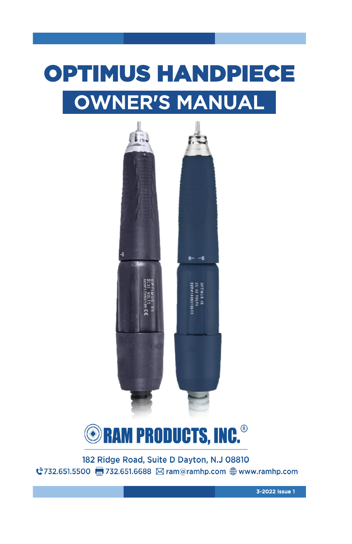## OPTIMUS HANDPIECE OWNER'S MANUAL





182 Ridge Road, Suite D Dayton, N.J 08810 

3-2022 issue 1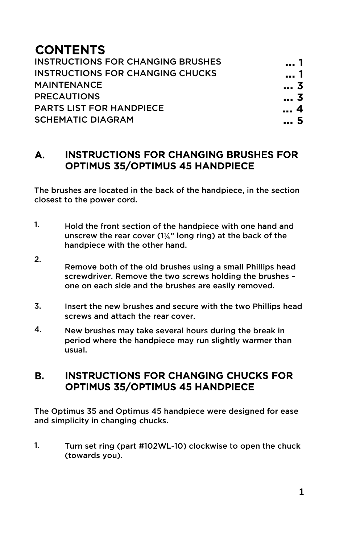## **CONTENTS**

| <b>INSTRUCTIONS FOR CHANGING BRUSHES</b> | 1          |
|------------------------------------------|------------|
| <b>INSTRUCTIONS FOR CHANGING CHUCKS</b>  | 1          |
| <b>MAINTENANCE</b>                       | 3          |
| <b>PRECAUTIONS</b>                       | 3          |
| <b>PARTS LIST FOR HANDPIECE</b>          | $\ldots$ 4 |
| <b>SCHEMATIC DIAGRAM</b>                 | 5          |
|                                          |            |

#### A. INSTRUCTIONS FOR CHANGING BRUSHES FOR OPTIMUS 35/OPTIMUS 45 HANDPIECE

The brushes are located in the back of the handpiece, in the section closest to the power cord.

- 1. Hold the front section of the handpiece with one hand and unscrew the rear cover  $(1\frac{1}{4}$ " long ring) at the back of the handpiece with the other hand.
- 2. Remove both of the old brushes using a small Phillips head screwdriver. Remove the two screws holding the brushes – one on each side and the brushes are easily removed.
- 3. Insert the new brushes and secure with the two Phillips head screws and attach the rear cover.
- 4. New brushes may take several hours during the break in period where the handpiece may run slightly warmer than usual.

#### B. INSTRUCTIONS FOR CHANGING CHUCKS FOR OPTIMUS 35/OPTIMUS 45 HANDPIECE

The Optimus 35 and Optimus 45 handpiece were designed for ease and simplicity in changing chucks.

1. Turn set ring (part #102WL-10) clockwise to open the chuck (towards you).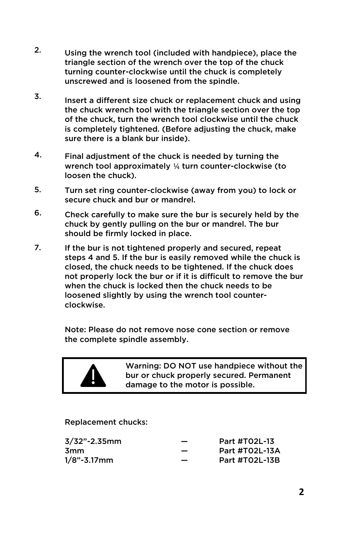- 2. Using the wrench tool (included with handpiece), place the triangle section of the wrench over the top of the chuck turning counter-clockwise until the chuck is completely unscrewed and is loosened from the spindle.
- 3. Insert a different size chuck or replacement chuck and using the chuck wrench tool with the triangle section over the top of the chuck, turn the wrench tool clockwise until the chuck is completely tightened. (Before adjusting the chuck, make sure there is a blank bur inside).
- 4. Final adjustment of the chuck is needed by turning the wrench tool approximately ¼ turn counter-clockwise (to loosen the chuck).
- 5. Turn set ring counter-clockwise (away from you) to lock or secure chuck and bur or mandrel.
- 6. Check carefully to make sure the bur is securely held by the chuck by gently pulling on the bur or mandrel. The bur should be firmly locked in place.
- 7. If the bur is not tightened properly and secured, repeat steps 4 and 5. If the bur is easily removed while the chuck is closed, the chuck needs to be tightened. If the chuck does not properly lock the bur or if it is difficult to remove the bur when the chuck is locked then the chuck needs to be loosened slightly by using the wrench tool counterclockwise.

Note: Please do not remove nose cone section or remove the complete spindle assembly.



Warning: DO NOT use handpiece without the bur or chuck properly secured. Permanent damage to the motor is possible.

#### Replacement chucks:

| $3/32$ "-2.35mm | $\overline{\phantom{0}}$ | Part #T02L-13  |
|-----------------|--------------------------|----------------|
| 3mm             |                          | Part #T02L-13A |
| $1/8$ "-3.17mm  | $\overline{\phantom{0}}$ | Part #T02L-13B |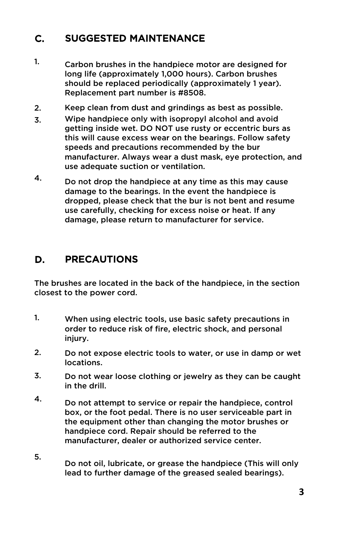#### C. SUGGESTED MAINTENANCE

- 1. Carbon brushes in the handpiece motor are designed for long life (approximately 1,000 hours). Carbon brushes should be replaced periodically (approximately 1 year). Replacement part number is #8508.
- 2. Keep clean from dust and grindings as best as possible.
- 3. Wipe handpiece only with isopropyl alcohol and avoid getting inside wet. DO NOT use rusty or eccentric burs as this will cause excess wear on the bearings. Follow safety speeds and precautions recommended by the bur manufacturer. Always wear a dust mask, eye protection, and use adequate suction or ventilation.
- 4. Do not drop the handpiece at any time as this may cause damage to the bearings. In the event the handpiece is dropped, please check that the bur is not bent and resume use carefully, checking for excess noise or heat. If any damage, please return to manufacturer for service.

#### D. PRECAUTIONS

The brushes are located in the back of the handpiece, in the section closest to the power cord.

- 1. When using electric tools, use basic safety precautions in order to reduce risk of fire, electric shock, and personal injury.
- 2. Do not expose electric tools to water, or use in damp or wet locations.
- 3. Do not wear loose clothing or jewelry as they can be caught in the drill.
- 4. Do not attempt to service or repair the handpiece, control box, or the foot pedal. There is no user serviceable part in the equipment other than changing the motor brushes or handpiece cord. Repair should be referred to the manufacturer, dealer or authorized service center.
- 5. Do not oil, lubricate, or grease the handpiece (This will only lead to further damage of the greased sealed bearings).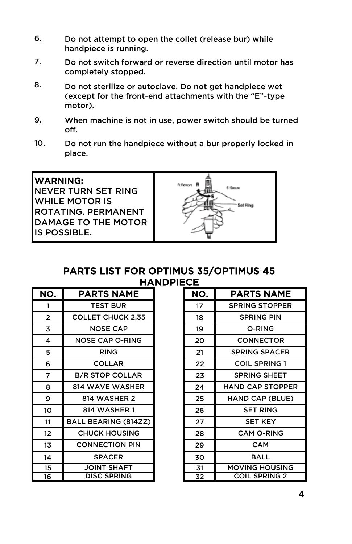- 6. Do not attempt to open the collet (release bur) while handpiece is running.
- 7. Do not switch forward or reverse direction until motor has completely stopped.
- 8. Do not sterilize or autoclave. Do not get handpiece wet (except for the front-end attachments with the "E"-type motor).
- 9. When machine is not in use, power switch should be turned off.
- 10. Do not run the handpiece without a bur properly locked in place.

| <b>IWARNING:</b><br>INEVER TURN SET RING<br>IWHILE MOTOR IS<br>IROTATING. PERMANENT<br>IDAMAGE TO THE MOTOR<br>IIS POSSIBLE. | R Revenue<br>5 Sec.a |
|------------------------------------------------------------------------------------------------------------------------------|----------------------|
|------------------------------------------------------------------------------------------------------------------------------|----------------------|

## PARTS LIST FOR OPTIMUS 35/OPTIMUS 45 **HANDPIECE**

| NO. | PARTS NAME                  | NO. |
|-----|-----------------------------|-----|
| 1   | <b>TEST BUR</b>             | 17  |
| 2   | <b>COLLET CHUCK 2.35</b>    | 18  |
| 3   | <b>NOSE CAP</b>             | 19  |
| 4   | <b>NOSE CAP O-RING</b>      | 20  |
| 5   | <b>RING</b>                 | 21  |
| 6   | <b>COLLAR</b>               | 22  |
| 7   | <b>B/R STOP COLLAR</b>      | 23  |
| 8   | <b>814 WAVE WASHER</b>      | 24  |
| 9   | 814 WASHER 2                | 25  |
| 10  | <b>814 WASHER 1</b>         | 26  |
| 11  | <b>BALL BEARING (814ZZ)</b> | 27  |
| 12  | <b>CHUCK HOUSING</b>        | 28  |
| 13  | <b>CONNECTION PIN</b>       | 29  |
| 14  | <b>SPACER</b>               | 30  |
| 15  | <b>JOINT SHAFT</b>          | 31  |
| 16  | <b>DISC SPRING</b>          | 32  |

| PARTS NAME            | NO. | <b>PARTS NAME</b>       |
|-----------------------|-----|-------------------------|
| <b>TEST BUR</b>       | 17  | <b>SPRING STOPPER</b>   |
| OLLET CHUCK 2.35      | 18  | <b>SPRING PIN</b>       |
| <b>NOSE CAP</b>       | 19  | O-RING                  |
| IOSE CAP O-RING       | 20  | <b>CONNECTOR</b>        |
| <b>RING</b>           | 21  | <b>SPRING SPACER</b>    |
| <b>COLLAR</b>         | 22  | <b>COIL SPRING 1</b>    |
| <b>/R STOP COLLAR</b> | 23  | <b>SPRING SHEET</b>     |
| <b>14 WAVE WASHER</b> | 24  | <b>HAND CAP STOPPER</b> |
| 814 WASHER 2          | 25  | HAND CAP (BLUE)         |
| <b>814 WASHER 1</b>   | 26  | <b>SET RING</b>         |
| LL BEARING (814ZZ)    | 27  | <b>SET KEY</b>          |
| <b>CHUCK HOUSING</b>  | 28  | <b>CAM O-RING</b>       |
| <b>CONNECTION PIN</b> | 29  | <b>CAM</b>              |
| <b>SPACER</b>         | 30  | <b>BALL</b>             |
| <b>JOINT SHAFT</b>    | 31  | <b>MOVING HOUSING</b>   |
| <b>DISC SPRING</b>    | 32  | <b>COIL SPRING 2</b>    |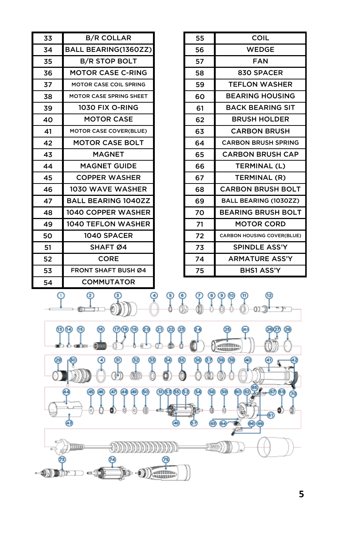| 34 | <b>BALL BEARING(1360ZZ)</b>         |              | 56                  | <b>WEDGE</b>                      |
|----|-------------------------------------|--------------|---------------------|-----------------------------------|
| 35 | <b>B/R STOP BOLT</b>                |              | 57                  | <b>FAN</b>                        |
| 36 | <b>MOTOR CASE C-RING</b>            |              | 58                  | 830 SPACER                        |
| 37 | MOTOR CASE COIL SPRING              |              | 59                  | <b>TEFLON WASHER</b>              |
| 38 | MOTOR CASE SPRING SHEET             |              | 60                  | <b>BEARING HOUSING</b>            |
| 39 | 1030 FIX O-RING                     |              | 61                  | <b>BACK BEARING SIT</b>           |
| 40 | <b>MOTOR CASE</b>                   |              | 62                  | <b>BRUSH HOLDER</b>               |
| 41 | MOTOR CASE COVER(BLUE)              |              | 63                  | <b>CARBON BRUSH</b>               |
| 42 | <b>MOTOR CASE BOLT</b>              |              | 64                  | <b>CARBON BRUSH SPRING</b>        |
| 43 | <b>MAGNET</b>                       |              | 65                  | <b>CARBON BRUSH CAP</b>           |
| 44 | <b>MAGNET GUIDE</b>                 |              | 66                  | TERMINAL (L)                      |
| 45 | <b>COPPER WASHER</b>                |              | 67                  | TERMINAL (R)                      |
| 46 | 1030 WAVE WASHER                    |              | 68                  | <b>CARBON BRUSH BOLT</b>          |
| 47 | <b>BALL BEARING 1040ZZ</b>          |              | 69                  | BALL BEARING (1030ZZ)             |
| 48 | 1040 COPPER WASHER                  |              | 70                  | <b>BEARING BRUSH BOLT</b>         |
| 49 | 1040 TEFLON WASHER                  |              | 71                  | <b>MOTOR CORD</b>                 |
| 50 | 1040 SPACER                         |              | 72                  | <b>CARBON HOUSING COVER(BLUE)</b> |
| 51 | SHAFT Ø4                            |              | 73                  | <b>SPINDLE ASS'Y</b>              |
| 52 | <b>CORE</b>                         |              | 74                  | <b>ARMATURE ASS'Y</b>             |
|    |                                     |              |                     |                                   |
| 53 | <b>FRONT SHAFT BUSH Ø4</b>          |              | 75                  | <b>BHS1 ASS'Y</b>                 |
| 54 | <b>COMMUTATOR</b>                   |              |                     |                                   |
| ω  | $^{(2)}$<br>(13) (14)<br>(15)<br>69 | Q) @ @       | 89                  |                                   |
|    |                                     |              |                     | <b>GITHITING</b>                  |
|    | ☺<br>ஞ<br>(51)                      |              | 67                  | ශ<br>ශ                            |
|    | ጫ<br>码                              | 9000<br>(48) | ⊛<br>(58<br>67<br>ය | 00<br>(59)<br>⊛<br>64)<br>෧෧      |

33 55 B/R COLLAR

**5**

COIL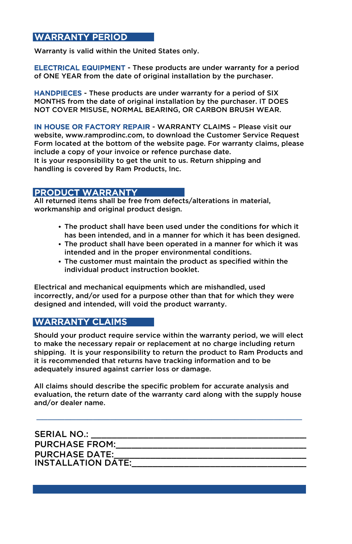### WARRANTY PERIOD

Warranty is valid within the United States only.

ELECTRICAL EQUIPMENT - These products are under warranty for a period of ONE YEAR from the date of original installation by the purchaser.

HANDPIECES - These products are under warranty for a period of SIX MONTHS from the date of original installation by the purchaser. IT DOES NOT COVER MISUSE, NORMAL BEARING, OR CARBON BRUSH WEAR.

IN HOUSE OR FACTORY REPAIR - WARRANTY CLAIMS – Please visit our website, www.ramprodinc.com, to download the Customer Service Request Form located at the bottom of the website page. For warranty claims, please include a copy of your invoice or refence purchase date.

It is your responsibility to get the unit to us. Return shipping and handling is covered by Ram Products, Inc.

#### PRODUCT WARRANTY

All returned items shall be free from defects/alterations in material, workmanship and original product design.

- The product shall have been used under the conditions for which it has been intended, and in a manner for which it has been designed.
- The product shall have been operated in a manner for which it was intended and in the proper environmental conditions.
- The customer must maintain the product as specified within the individual product instruction booklet.

Electrical and mechanical equipments which are mishandled, used incorrectly, and/or used for a purpose other than that for which they were designed and intended, will void the product warranty.

## WARRANTY CLAIMS

Should your product require service within the warranty period, we will elect to make the necessary repair or replacement at no charge including return shipping. It is your responsibility to return the product to Ram Products and it is recommended that returns have tracking information and to be adequately insured against carrier loss or damage.

All claims should describe the specific problem for accurate analysis and evaluation, the return date of the warranty card along with the supply house and/or dealer name.

| <b>SERIAL NO.:</b>        |  |
|---------------------------|--|
| <b>PURCHASE FROM:</b>     |  |
| <b>PURCHASE DATE:</b>     |  |
| <b>INSTALLATION DATE:</b> |  |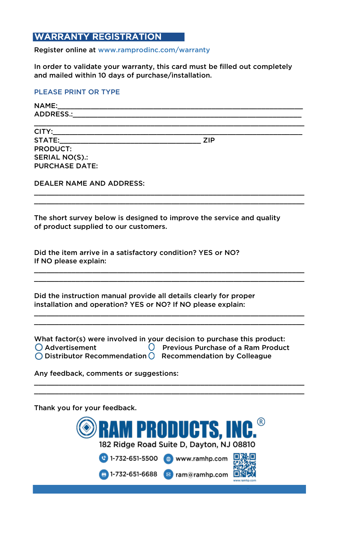### WARRANTY REGISTRATION

Register online at www.ramprodinc.com/warranty

In order to validate your warranty, this card must be filled out completely and mailed within 10 days of purchase/installation.

#### PLEASE PRINT OR TYPE

| NAME:                                                                                                                                                                                                                          |            |  |
|--------------------------------------------------------------------------------------------------------------------------------------------------------------------------------------------------------------------------------|------------|--|
| ADDRESS.: ADDRESS.:                                                                                                                                                                                                            |            |  |
|                                                                                                                                                                                                                                |            |  |
| CITY: the contract of the contract of the contract of the contract of the contract of the contract of the contract of the contract of the contract of the contract of the contract of the contract of the contract of the cont |            |  |
| STATE: A CONTROLLER STATE:                                                                                                                                                                                                     | <b>ZIP</b> |  |
| PRODUCT:                                                                                                                                                                                                                       |            |  |
| SERIAL NO(S).:                                                                                                                                                                                                                 |            |  |
| <b>PURCHASE DATE:</b>                                                                                                                                                                                                          |            |  |
|                                                                                                                                                                                                                                |            |  |
|                                                                                                                                                                                                                                |            |  |

\_\_\_\_\_\_\_\_\_\_\_\_\_\_\_\_\_\_\_\_\_\_\_\_\_\_\_\_\_\_\_\_\_\_\_\_\_\_\_\_\_\_\_\_\_\_\_\_\_\_\_\_\_\_\_\_\_\_\_\_\_\_\_\_\_

\_\_\_\_\_\_\_\_\_\_\_\_\_\_\_\_\_\_\_\_\_\_\_\_\_\_\_\_\_\_\_\_\_\_\_\_\_\_\_\_\_\_\_\_\_\_\_\_\_\_\_\_\_\_\_\_\_\_\_\_\_\_\_\_\_ \_\_\_\_\_\_\_\_\_\_\_\_\_\_\_\_\_\_\_\_\_\_\_\_\_\_\_\_\_\_\_\_\_\_\_\_\_\_\_\_\_\_\_\_\_\_\_\_\_\_\_\_\_\_\_\_\_\_\_\_\_\_\_\_\_

\_\_\_\_\_\_\_\_\_\_\_\_\_\_\_\_\_\_\_\_\_\_\_\_\_\_\_\_\_\_\_\_\_\_\_\_\_\_\_\_\_\_\_\_\_\_\_\_\_\_\_\_\_\_\_\_\_\_\_\_\_\_\_\_\_ \_\_\_\_\_\_\_\_\_\_\_\_\_\_\_\_\_\_\_\_\_\_\_\_\_\_\_\_\_\_\_\_\_\_\_\_\_\_\_\_\_\_\_\_\_\_\_\_\_\_\_\_\_\_\_\_\_\_\_\_\_\_\_\_\_

\_\_\_\_\_\_\_\_\_\_\_\_\_\_\_\_\_\_\_\_\_\_\_\_\_\_\_\_\_\_\_\_\_\_\_\_\_\_\_\_\_\_\_\_\_\_\_\_\_\_\_\_\_\_\_\_\_\_\_\_\_\_\_\_\_ DEALER NAME AND ADDRESS:

The short survey below is designed to improve the service and quality of product supplied to our customers.

Did the item arrive in a satisfactory condition? YES or NO? If NO please explain:

Did the instruction manual provide all details clearly for proper installation and operation? YES or NO? If NO please explain:

What factor(s) were involved in your decision to purchase this product:  $\bigcirc$  Advertisement  $\bigcirc$  Previous Purchase of a Ram Product

\_\_\_\_\_\_\_\_\_\_\_\_\_\_\_\_\_\_\_\_\_\_\_\_\_\_\_\_\_\_\_\_\_\_\_\_\_\_\_\_\_\_\_\_\_\_\_\_\_\_\_\_\_\_\_\_\_\_\_\_\_\_\_\_\_ \_\_\_\_\_\_\_\_\_\_\_\_\_\_\_\_\_\_\_\_\_\_\_\_\_\_\_\_\_\_\_\_\_\_\_\_\_\_\_\_\_\_\_\_\_\_\_\_\_\_\_\_\_\_\_\_\_\_\_\_\_\_\_\_\_

 $\bigcirc$  Distributor Recommendation  $\bigcirc$  Recommendation by Colleague

Any feedback, comments or suggestions:

Thank you for your feedback.

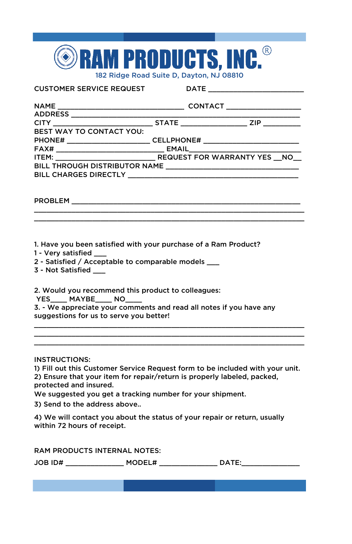

CUSTOMER SERVICE REQUEST DATE \_\_\_\_\_\_\_\_\_\_\_\_\_\_\_\_\_\_\_\_\_\_\_

| BEST WAY TO CONTACT YOU:                                                                                       |  |
|----------------------------------------------------------------------------------------------------------------|--|
|                                                                                                                |  |
|                                                                                                                |  |
|                                                                                                                |  |
|                                                                                                                |  |
| BILL CHARGES DIRECTLY AND AN INTERNATIONAL STATES OF THE STATE OF THE STATE OF THE STATE OF THE STATE OF THE S |  |
|                                                                                                                |  |

\_\_\_\_\_\_\_\_\_\_\_\_\_\_\_\_\_\_\_\_\_\_\_\_\_\_\_\_\_\_\_\_\_\_\_\_\_\_\_\_\_\_\_\_\_\_\_\_\_\_\_\_\_\_\_\_\_\_\_\_\_\_\_\_\_ \_\_\_\_\_\_\_\_\_\_\_\_\_\_\_\_\_\_\_\_\_\_\_\_\_\_\_\_\_\_\_\_\_\_\_\_\_\_\_\_\_\_\_\_\_\_\_\_\_\_\_\_\_\_\_\_\_\_\_\_\_\_\_\_\_

PROBLEM

1. Have you been satisfied with your purchase of a Ram Product?

- 1 Very satisfied \_\_\_
- 2 Satisfied / Acceptable to comparable models \_\_\_
- 3 Not Satisfied \_\_\_

2. Would you recommend this product to colleagues:

YES\_\_\_\_\_ MAYBE\_\_\_\_\_ NO\_\_

3. - We appreciate your comments and read all notes if you have any suggestions for us to serve you better!

INSTRUCTIONS:

1) Fill out this Customer Service Request form to be included with your unit. 2) Ensure that your item for repair/return is properly labeled, packed, protected and insured.

\_\_\_\_\_\_\_\_\_\_\_\_\_\_\_\_\_\_\_\_\_\_\_\_\_\_\_\_\_\_\_\_\_\_\_\_\_\_\_\_\_\_\_\_\_\_\_\_\_\_\_\_\_\_\_\_\_\_\_\_\_\_\_\_\_ \_\_\_\_\_\_\_\_\_\_\_\_\_\_\_\_\_\_\_\_\_\_\_\_\_\_\_\_\_\_\_\_\_\_\_\_\_\_\_\_\_\_\_\_\_\_\_\_\_\_\_\_\_\_\_\_\_\_\_\_\_\_\_\_\_ \_\_\_\_\_\_\_\_\_\_\_\_\_\_\_\_\_\_\_\_\_\_\_\_\_\_\_\_\_\_\_\_\_\_\_\_\_\_\_\_\_\_\_\_\_\_\_\_\_\_\_\_\_\_\_\_\_\_\_\_\_\_\_\_\_

We suggested you get a tracking number for your shipment.

3) Send to the address above..

4) We will contact you about the status of your repair or return, usually within 72 hours of receipt.

RAM PRODUCTS INTERNAL NOTES:

| JOB ID# | M' | . . |
|---------|----|-----|
|         |    |     |